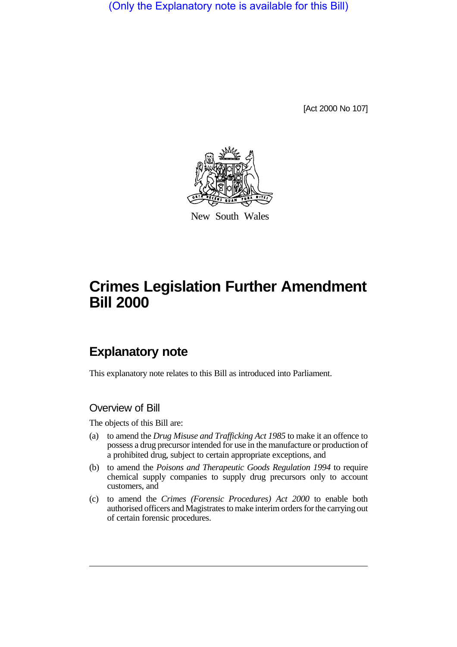(Only the Explanatory note is available for this Bill)

[Act 2000 No 107]



New South Wales

# **Crimes Legislation Further Amendment Bill 2000**

# **Explanatory note**

This explanatory note relates to this Bill as introduced into Parliament.

#### Overview of Bill

The objects of this Bill are:

- (a) to amend the *Drug Misuse and Trafficking Act 1985* to make it an offence to possess a drug precursor intended for use in the manufacture or production of a prohibited drug, subject to certain appropriate exceptions, and
- (b) to amend the *Poisons and Therapeutic Goods Regulation 1994* to require chemical supply companies to supply drug precursors only to account customers, and
- (c) to amend the *Crimes (Forensic Procedures) Act 2000* to enable both authorised officers and Magistrates to make interim orders for the carrying out of certain forensic procedures.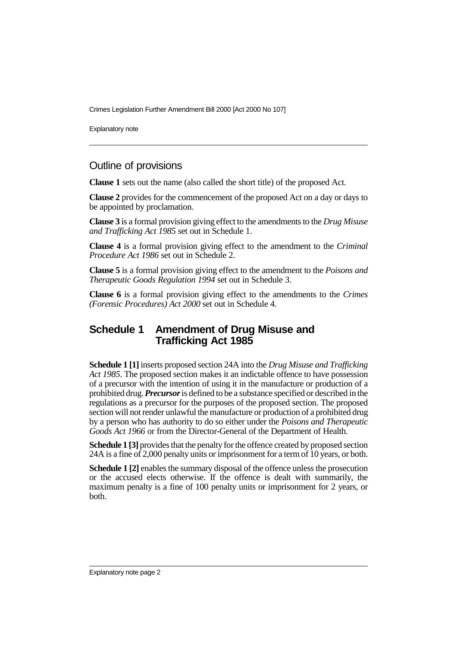Crimes Legislation Further Amendment Bill 2000 [Act 2000 No 107]

Explanatory note

### Outline of provisions

**Clause 1** sets out the name (also called the short title) of the proposed Act.

**Clause 2** provides for the commencement of the proposed Act on a day or days to be appointed by proclamation.

**Clause 3** is a formal provision giving effect to the amendments to the *Drug Misuse and Trafficking Act 1985* set out in Schedule 1.

**Clause 4** is a formal provision giving effect to the amendment to the *Criminal Procedure Act 1986* set out in Schedule 2.

**Clause 5** is a formal provision giving effect to the amendment to the *Poisons and Therapeutic Goods Regulation 1994* set out in Schedule 3.

**Clause 6** is a formal provision giving effect to the amendments to the *Crimes (Forensic Procedures) Act 2000* set out in Schedule 4.

#### **Schedule 1 Amendment of Drug Misuse and Trafficking Act 1985**

**Schedule 1 [1]** inserts proposed section 24A into the *Drug Misuse and Trafficking Act 1985*. The proposed section makes it an indictable offence to have possession of a precursor with the intention of using it in the manufacture or production of a prohibited drug. *Precursor* is defined to be a substance specified or described in the regulations as a precursor for the purposes of the proposed section. The proposed section will not render unlawful the manufacture or production of a prohibited drug by a person who has authority to do so either under the *Poisons and Therapeutic Goods Act 1966* or from the Director-General of the Department of Health.

**Schedule 1 [3]** provides that the penalty for the offence created by proposed section 24A is a fine of 2,000 penalty units or imprisonment for a term of 10 years, or both.

**Schedule 1 [2]** enables the summary disposal of the offence unless the prosecution or the accused elects otherwise. If the offence is dealt with summarily, the maximum penalty is a fine of 100 penalty units or imprisonment for 2 years, or both.